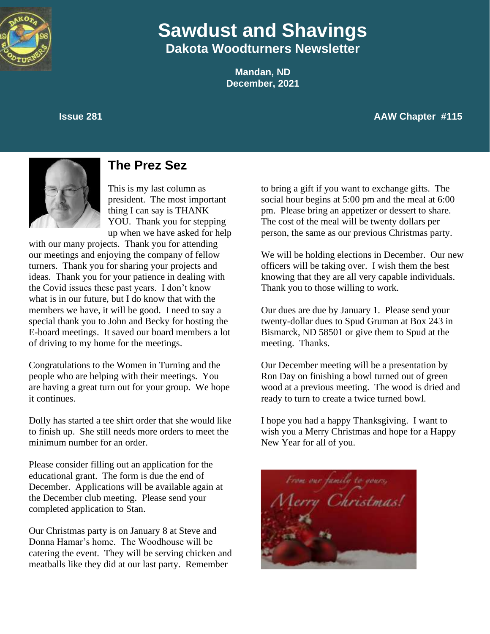

# **Sawdust and Shavings Dakota Woodturners Newsletter**

**Mandan, ND December, 2021**

**Issue 281 AAW Chapter #115** 





## **The Prez Sez**

This is my last column as president. The most important thing I can say is THANK YOU. Thank you for stepping up when we have asked for help

with our many projects. Thank you for attending our meetings and enjoying the company of fellow turners. Thank you for sharing your projects and ideas. Thank you for your patience in dealing with the Covid issues these past years. I don't know what is in our future, but I do know that with the members we have, it will be good. I need to say a special thank you to John and Becky for hosting the E-board meetings. It saved our board members a lot of driving to my home for the meetings.

Congratulations to the Women in Turning and the people who are helping with their meetings. You are having a great turn out for your group. We hope it continues.

Dolly has started a tee shirt order that she would like to finish up. She still needs more orders to meet the minimum number for an order.

Please consider filling out an application for the educational grant. The form is due the end of December. Applications will be available again at the December club meeting. Please send your completed application to Stan.

Our Christmas party is on January 8 at Steve and Donna Hamar's home. The Woodhouse will be catering the event. They will be serving chicken and meatballs like they did at our last party. Remember

to bring a gift if you want to exchange gifts. The social hour begins at 5:00 pm and the meal at 6:00 pm. Please bring an appetizer or dessert to share. The cost of the meal will be twenty dollars per person, the same as our previous Christmas party.

We will be holding elections in December. Our new officers will be taking over. I wish them the best knowing that they are all very capable individuals. Thank you to those willing to work.

Our dues are due by January 1. Please send your twenty-dollar dues to Spud Gruman at Box 243 in Bismarck, ND 58501 or give them to Spud at the meeting. Thanks.

Our December meeting will be a presentation by Ron Day on finishing a bowl turned out of green wood at a previous meeting. The wood is dried and ready to turn to create a twice turned bowl.

I hope you had a happy Thanksgiving. I want to wish you a Merry Christmas and hope for a Happy New Year for all of you.

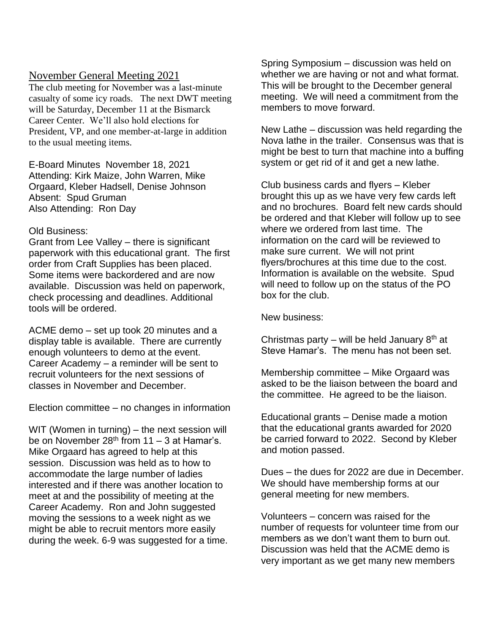#### November General Meeting 2021

The club meeting for November was a last-minute casualty of some icy roads. The next DWT meeting will be Saturday, December 11 at the Bismarck Career Center. We'll also hold elections for President, VP, and one member-at-large in addition to the usual meeting items.

E-Board Minutes November 18, 2021 Attending: Kirk Maize, John Warren, Mike Orgaard, Kleber Hadsell, Denise Johnson Absent: Spud Gruman Also Attending: Ron Day

#### Old Business:

Grant from Lee Valley – there is significant paperwork with this educational grant. The first order from Craft Supplies has been placed. Some items were backordered and are now available. Discussion was held on paperwork, check processing and deadlines. Additional tools will be ordered.

ACME demo – set up took 20 minutes and a display table is available. There are currently enough volunteers to demo at the event. Career Academy – a reminder will be sent to recruit volunteers for the next sessions of classes in November and December.

Election committee – no changes in information

WIT (Women in turning) – the next session will be on November 28<sup>th</sup> from 11 – 3 at Hamar's. Mike Orgaard has agreed to help at this session. Discussion was held as to how to accommodate the large number of ladies interested and if there was another location to meet at and the possibility of meeting at the Career Academy. Ron and John suggested moving the sessions to a week night as we might be able to recruit mentors more easily during the week. 6-9 was suggested for a time. Spring Symposium – discussion was held on whether we are having or not and what format. This will be brought to the December general meeting. We will need a commitment from the members to move forward.

New Lathe – discussion was held regarding the Nova lathe in the trailer. Consensus was that is might be best to turn that machine into a buffing system or get rid of it and get a new lathe.

Club business cards and flyers – Kleber brought this up as we have very few cards left and no brochures. Board felt new cards should be ordered and that Kleber will follow up to see where we ordered from last time. The information on the card will be reviewed to make sure current. We will not print flyers/brochures at this time due to the cost. Information is available on the website. Spud will need to follow up on the status of the PO box for the club.

New business:

Christmas party – will be held January  $8<sup>th</sup>$  at Steve Hamar's. The menu has not been set.

Membership committee – Mike Orgaard was asked to be the liaison between the board and the committee. He agreed to be the liaison.

Educational grants – Denise made a motion that the educational grants awarded for 2020 be carried forward to 2022. Second by Kleber and motion passed.

Dues – the dues for 2022 are due in December. We should have membership forms at our general meeting for new members.

Volunteers – concern was raised for the number of requests for volunteer time from our members as we don't want them to burn out. Discussion was held that the ACME demo is very important as we get many new members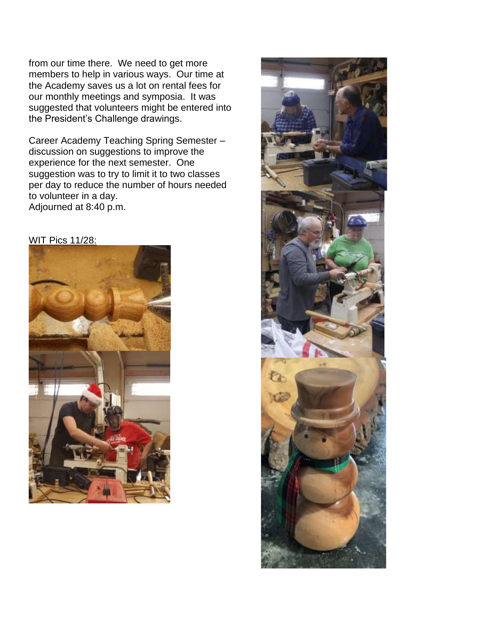from our time there. We need to get more members to help in various ways. Our time at the Academy saves us a lot on rental fees for our monthly meetings and symposia. It was suggested that volunteers might be entered into the President's Challenge drawings.

Career Academy Teaching Spring Semester – discussion on suggestions to improve the experience for the next semester. One suggestion was to try to limit it to two classes per day to reduce the number of hours needed to volunteer in a day. Adjourned at 8:40 p.m.





WIT Pics 11/28: